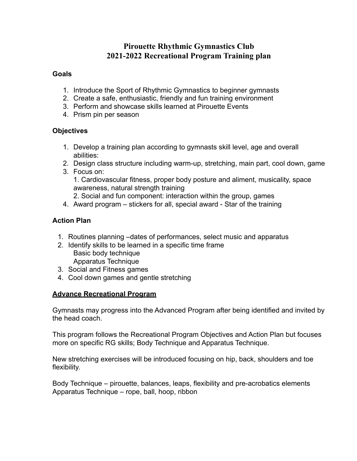# **Pirouette Rhythmic Gymnastics Club 2021-2022 Recreational Program Training plan**

### **Goals**

- 1. Introduce the Sport of Rhythmic Gymnastics to beginner gymnasts
- 2. Create a safe, enthusiastic, friendly and fun training environment
- 3. Perform and showcase skills learned at Pirouette Events
- 4. Prism pin per season

## **Objectives**

- 1. Develop a training plan according to gymnasts skill level, age and overall abilities:
- 2. Design class structure including warm-up, stretching, main part, cool down, game
- 3. Focus on: 1. Cardiovascular fitness, proper body posture and aliment, musicality, space awareness, natural strength training
	- 2. Social and fun component: interaction within the group, games
- 4. Award program stickers for all, special award Star of the training

# **Action Plan**

- 1. Routines planning –dates of performances, select music and apparatus
- 2. Identify skills to be learned in a specific time frame Basic body technique Apparatus Technique
- 3. Social and Fitness games
- 4. Cool down games and gentle stretching

## **Advance Recreational Program**

Gymnasts may progress into the Advanced Program after being identified and invited by the head coach.

This program follows the Recreational Program Objectives and Action Plan but focuses more on specific RG skills; Body Technique and Apparatus Technique.

New stretching exercises will be introduced focusing on hip, back, shoulders and toe flexibility.

Body Technique – pirouette, balances, leaps, flexibility and pre-acrobatics elements Apparatus Technique – rope, ball, hoop, ribbon